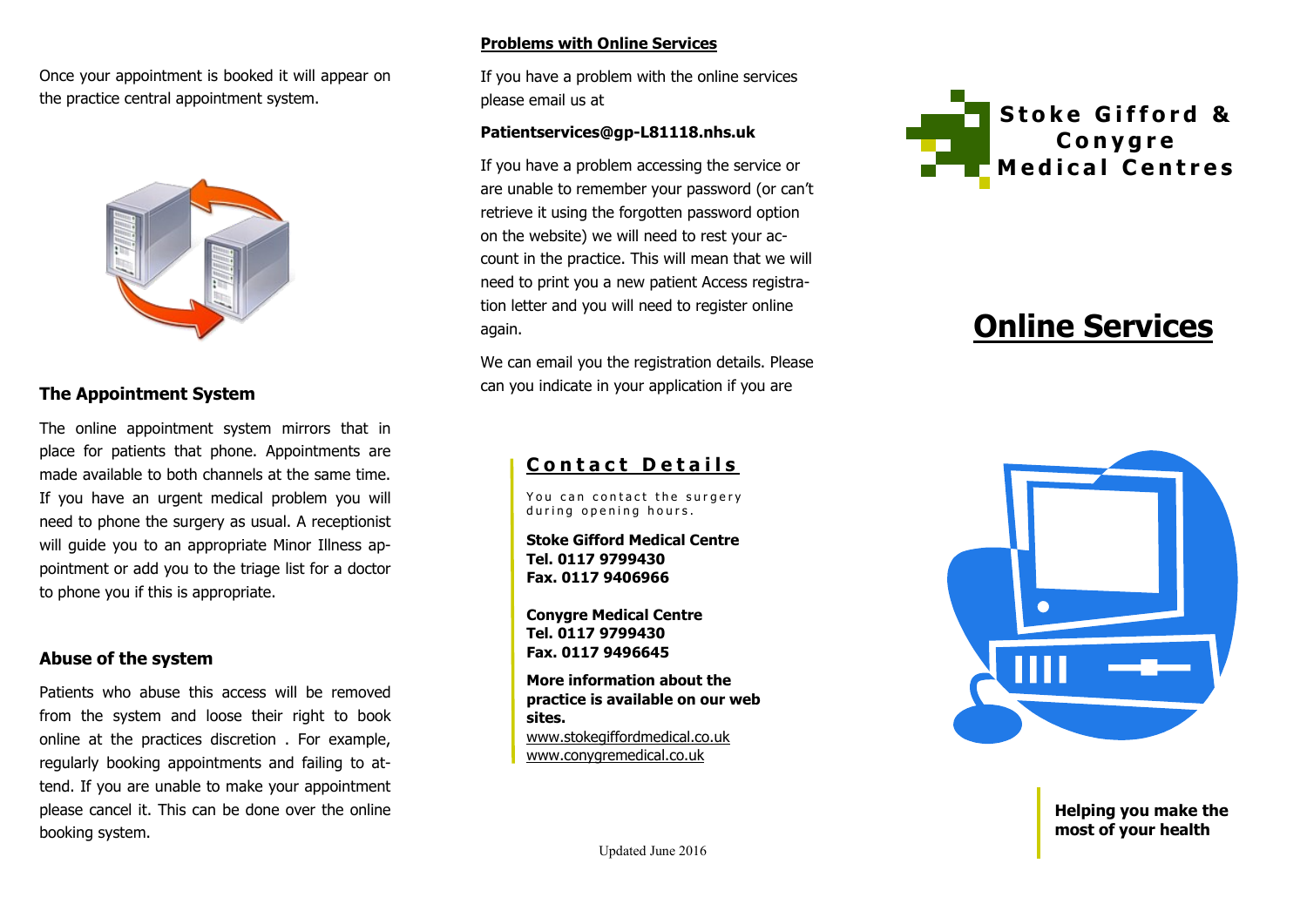Once your appointment is booked it will appear on the practice central appointment system.



# **The Appointment System**

The online appointment system mirrors that in place for patients that phone. Appointments are made available to both channels at the same time. If you have an urgent medical problem you will need to phone the surgery as usual. A receptionist will guide you to an appropriate Minor Illness appointment or add you to the triage list for a doctor to phone you if this is appropriate.

## **Abuse of the system**

Patients who abuse this access will be removed from the system and loose their right to book online at the practices discretion . For example, regularly booking appointments and failing to attend. If you are unable to make your appointment please cancel it. This can be done over the online booking system.

#### **Problems with Online Services**

If you have a problem with the online services please email us at

## **Patientservices@gp-L81118.nhs.uk**

If you have a problem accessing the service or are unable to remember your password (or can't retrieve it using the forgotten password option on the website) we will need to rest your account in the practice. This will mean that we will need to print you a new patient Access registration letter and you will need to register online again.

We can email you the registration details. Please can you indicate in your application if you are

# **Contact Details**

You can contact the surgerv during opening hours.

**Stoke Gifford Medical Centre Tel. 0117 9799430 Fax. 0117 9406966**

**Conygre Medical Centre Tel. 0117 9799430 Fax. 0117 9496645**

**More information about the practice is available on our web sites.** www.stokegiffordmedical.co.uk www.conygremedical.co.uk



# **Online Services**



**Helping you make the most of your health**

Updated June 2016